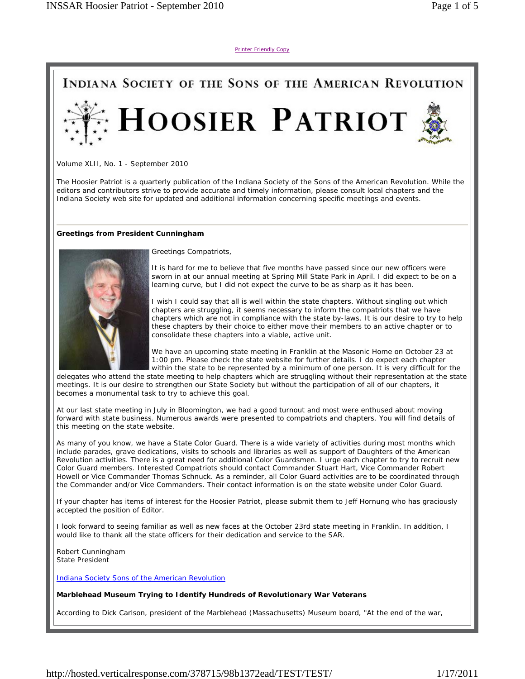Printer Friendly Copy



Volume XLII, No. 1 - September 2010

The Hoosier Patriot is a quarterly publication of the Indiana Society of the Sons of the American Revolution. While the editors and contributors strive to provide accurate and timely information, please consult local chapters and the Indiana Society web site for updated and additional information concerning specific meetings and events.

#### **Greetings from President Cunningham**



Greetings Compatriots,

It is hard for me to believe that five months have passed since our new officers were sworn in at our annual meeting at Spring Mill State Park in April. I did expect to be on a learning curve, but I did not expect the curve to be as sharp as it has been.

I wish I could say that all is well within the state chapters. Without singling out which chapters are struggling, it seems necessary to inform the compatriots that we have chapters which are not in compliance with the state by-laws. It is our desire to try to help these chapters by their choice to either move their members to an active chapter or to consolidate these chapters into a viable, active unit.

We have an upcoming state meeting in Franklin at the Masonic Home on October 23 at 1:00 pm. Please check the state website for further details. I do expect each chapter within the state to be represented by a minimum of one person. It is very difficult for the

delegates who attend the state meeting to help chapters which are struggling without their representation at the state meetings. It is our desire to strengthen our State Society but without the participation of all of our chapters, it becomes a monumental task to try to achieve this goal.

At our last state meeting in July in Bloomington, we had a good turnout and most were enthused about moving forward with state business. Numerous awards were presented to compatriots and chapters. You will find details of this meeting on the state website.

As many of you know, we have a State Color Guard. There is a wide variety of activities during most months which include parades, grave dedications, visits to schools and libraries as well as support of Daughters of the American Revolution activities. There is a great need for additional Color Guardsmen. I urge each chapter to try to recruit new Color Guard members. Interested Compatriots should contact Commander Stuart Hart, Vice Commander Robert Howell or Vice Commander Thomas Schnuck. As a reminder, all Color Guard activities are to be coordinated through the Commander and/or Vice Commanders. Their contact information is on the state website under Color Guard.

If your chapter has items of interest for the Hoosier Patriot, please submit them to Jeff Hornung who has graciously accepted the position of Editor.

I look forward to seeing familiar as well as new faces at the October 23rd state meeting in Franklin. In addition, I would like to thank all the state officers for their dedication and service to the SAR.

Robert Cunningham State President

Indiana Society Sons of the American Revolution

#### **Marblehead Museum Trying to Identify Hundreds of Revolutionary War Veterans**

According to Dick Carlson, president of the Marblehead (Massachusetts) Museum board, "At the end of the war,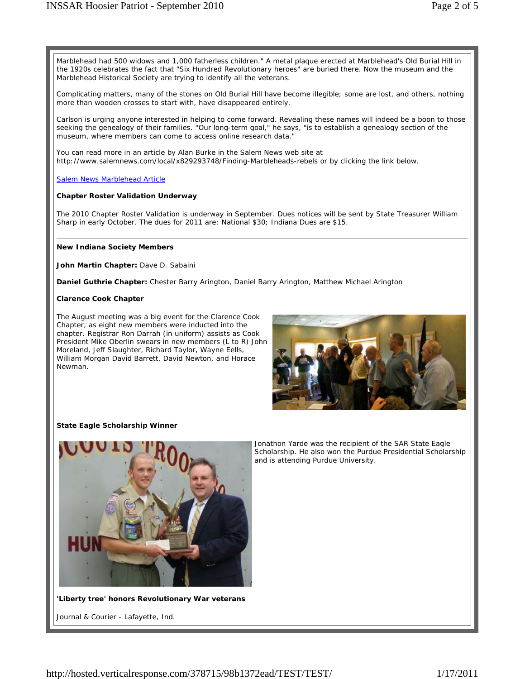Marblehead had 500 widows and 1,000 fatherless children." A metal plaque erected at Marblehead's Old Burial Hill in the 1920s celebrates the fact that "Six Hundred Revolutionary heroes" are buried there. Now the museum and the Marblehead Historical Society are trying to identify all the veterans.

Complicating matters, many of the stones on Old Burial Hill have become illegible; some are lost, and others, nothing more than wooden crosses to start with, have disappeared entirely.

Carlson is urging anyone interested in helping to come forward. Revealing these names will indeed be a boon to those seeking the genealogy of their families. "Our long-term goal," he says, "is to establish a genealogy section of the museum, where members can come to access online research data."

You can read more in an article by Alan Burke in the Salem News web site at http://www.salemnews.com/local/x829293748/Finding-Marbleheads-rebels or by clicking the link below.

Salem News Marblehead Article

## **Chapter Roster Validation Underway**

The 2010 Chapter Roster Validation is underway in September. Dues notices will be sent by State Treasurer William Sharp in early October. The dues for 2011 are: National \$30; Indiana Dues are \$15.

### **New Indiana Society Members**

**John Martin Chapter:** Dave D. Sabaini

**Daniel Guthrie Chapter:** Chester Barry Arington, Daniel Barry Arington, Matthew Michael Arington

### **Clarence Cook Chapter**

The August meeting was a big event for the Clarence Cook Chapter, as eight new members were inducted into the chapter. Registrar Ron Darrah (in uniform) assists as Cook President Mike Oberlin swears in new members (L to R) John Moreland, Jeff Slaughter, Richard Taylor, Wayne Eells, William Morgan David Barrett, David Newton, and Horace Newman.



## **State Eagle Scholarship Winner**



**'Liberty tree' honors Revolutionary War veterans**

Journal & Courier - Lafayette, Ind.

Jonathon Yarde was the recipient of the SAR State Eagle Scholarship. He also won the Purdue Presidential Scholarship and is attending Purdue University.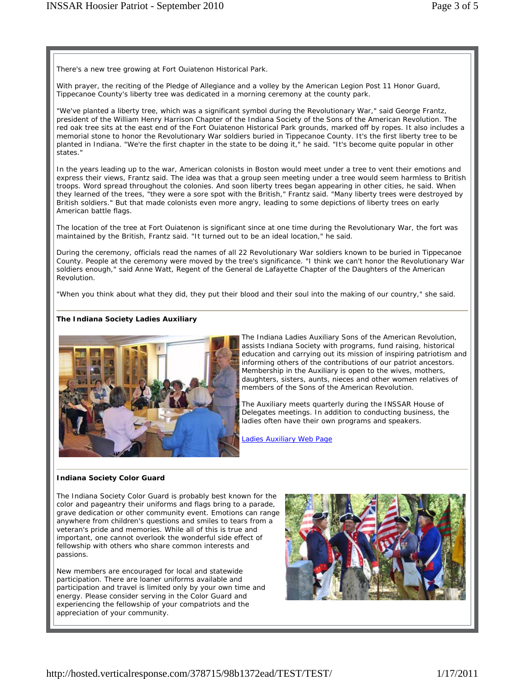There's a new tree growing at Fort Ouiatenon Historical Park.

With prayer, the reciting of the Pledge of Allegiance and a volley by the American Legion Post 11 Honor Guard, Tippecanoe County's liberty tree was dedicated in a morning ceremony at the county park.

"We've planted a liberty tree, which was a significant symbol during the Revolutionary War," said George Frantz, president of the William Henry Harrison Chapter of the Indiana Society of the Sons of the American Revolution. The red oak tree sits at the east end of the Fort Ouiatenon Historical Park grounds, marked off by ropes. It also includes a memorial stone to honor the Revolutionary War soldiers buried in Tippecanoe County. It's the first liberty tree to be planted in Indiana. "We're the first chapter in the state to be doing it," he said. "It's become quite popular in other states."

In the years leading up to the war, American colonists in Boston would meet under a tree to vent their emotions and express their views, Frantz said. The idea was that a group seen meeting under a tree would seem harmless to British troops. Word spread throughout the colonies. And soon liberty trees began appearing in other cities, he said. When they learned of the trees, "they were a sore spot with the British," Frantz said. "Many liberty trees were destroyed by British soldiers." But that made colonists even more angry, leading to some depictions of liberty trees on early American battle flags.

The location of the tree at Fort Ouiatenon is significant since at one time during the Revolutionary War, the fort was maintained by the British, Frantz said. "It turned out to be an ideal location," he said.

During the ceremony, officials read the names of all 22 Revolutionary War soldiers known to be buried in Tippecanoe County. People at the ceremony were moved by the tree's significance. "I think we can't honor the Revolutionary War soldiers enough," said Anne Watt, Regent of the General de Lafayette Chapter of the Daughters of the American Revolution.

"When you think about what they did, they put their blood and their soul into the making of our country," she said.

## **The Indiana Society Ladies Auxiliary**



The Indiana Ladies Auxiliary Sons of the American Revolution, assists Indiana Society with programs, fund raising, historical education and carrying out its mission of inspiring patriotism and informing others of the contributions of our patriot ancestors. Membership in the Auxiliary is open to the wives, mothers, daughters, sisters, aunts, nieces and other women relatives of members of the Sons of the American Revolution.

The Auxiliary meets quarterly during the INSSAR House of Delegates meetings. In addition to conducting business, the ladies often have their own programs and speakers.

Ladies Auxiliary Web Page

#### **Indiana Society Color Guard**

The Indiana Society Color Guard is probably best known for the color and pageantry their uniforms and flags bring to a parade, grave dedication or other community event. Emotions can range anywhere from children's questions and smiles to tears from a veteran's pride and memories. While all of this is true and important, one cannot overlook the wonderful side effect of fellowship with others who share common interests and passions.

New members are encouraged for local and statewide participation. There are loaner uniforms available and participation and travel is limited only by your own time and energy. Please consider serving in the Color Guard and experiencing the fellowship of your compatriots and the appreciation of your community.

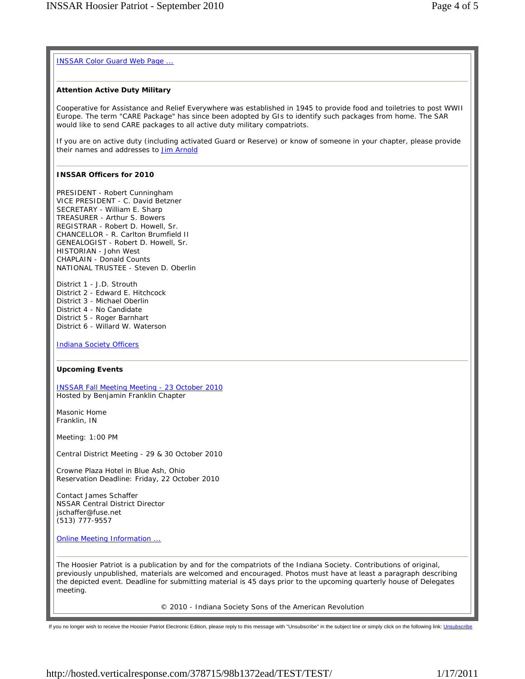# INSSAR Color Guard Web Page ...

# **Attention Active Duty Military**

*Cooperative for Assistance and Relief Everywhere* was established in 1945 to provide food and toiletries to post WWII Europe. The term "CARE Package" has since been adopted by GIs to identify such packages from home. The SAR would like to send CARE packages to all active duty military compatriots.

If you are on active duty (including activated Guard or Reserve) or know of someone in your chapter, please provide their names and addresses to **Jim Arnold** 

# **INSSAR Officers for 2010**

PRESIDENT - Robert Cunningham VICE PRESIDENT - C. David Betzner SECRETARY - William E. Sharp TREASURER - Arthur S. Bowers REGISTRAR - Robert D. Howell, Sr. CHANCELLOR - R. Carlton Brumfield II GENEALOGIST - Robert D. Howell, Sr. HISTORIAN - John West CHAPLAIN - Donald Counts NATIONAL TRUSTEE - Steven D. Oberlin

District 1 - J.D. Strouth District 2 - Edward E. Hitchcock District 3 - Michael Oberlin District 4 - No Candidate District 5 - Roger Barnhart District 6 - Willard W. Waterson

Indiana Society Officers

## **Upcoming Events**

INSSAR Fall Meeting Meeting - 23 October 2010 Hosted by Benjamin Franklin Chapter

Masonic Home Franklin, IN

Meeting: 1:00 PM

Central District Meeting - 29 & 30 October 2010

Crowne Plaza Hotel in Blue Ash, Ohio Reservation Deadline: Friday, 22 October 2010

Contact James Schaffer NSSAR Central District Director jschaffer@fuse.net (513) 777-9557

Online Meeting Information ...

The Hoosier Patriot is a publication by and for the compatriots of the Indiana Society. Contributions of original, previously unpublished, materials are welcomed and encouraged. Photos must have at least a paragraph describing the depicted event. Deadline for submitting material is 45 days prior to the upcoming quarterly house of Delegates meeting.

© 2010 - Indiana Society Sons of the American Revolution

If you no longer wish to receive the Hoosier Patriot Electronic Edition, please reply to this message with "Unsubscribe" in the subject line or simply click on the following link: Unsubscribe